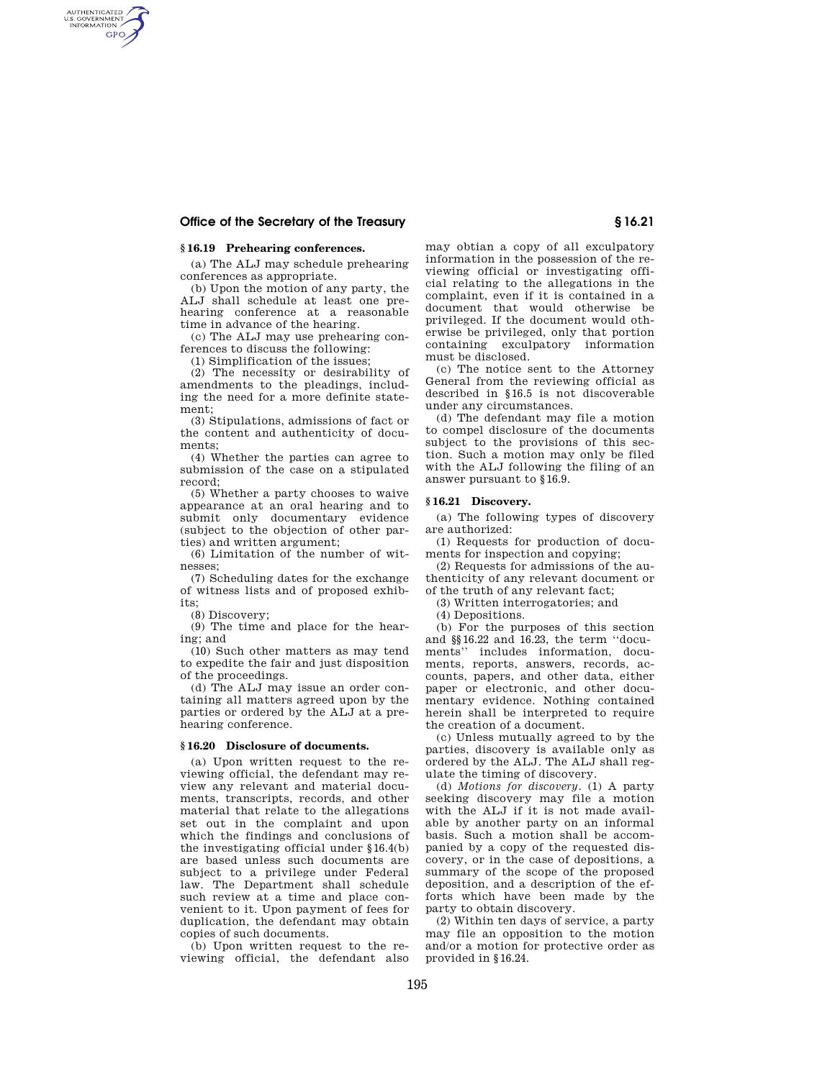# **Office of the Secretary of the Treasury § 16.21**

# **§ 16.19 Prehearing conferences.**

AUTHENTICATED<br>U.S. GOVERNMENT<br>INFORMATION **GPO** 

> (a) The ALJ may schedule prehearing conferences as appropriate.

(b) Upon the motion of any party, the ALJ shall schedule at least one prehearing conference at a reasonable time in advance of the hearing.

(c) The ALJ may use prehearing conferences to discuss the following:

(1) Simplification of the issues;

(2) The necessity or desirability of amendments to the pleadings, including the need for a more definite statement;

(3) Stipulations, admissions of fact or the content and authenticity of documents;

(4) Whether the parties can agree to submission of the case on a stipulated record;

(5) Whether a party chooses to waive appearance at an oral hearing and to submit only documentary evidence (subject to the objection of other parties) and written argument;

(6) Limitation of the number of witnesses;

(7) Scheduling dates for the exchange of witness lists and of proposed exhibits;

(8) Discovery;

(9) The time and place for the hearing; and

(10) Such other matters as may tend to expedite the fair and just disposition of the proceedings.

(d) The ALJ may issue an order containing all matters agreed upon by the parties or ordered by the ALJ at a prehearing conference.

## **§ 16.20 Disclosure of documents.**

(a) Upon written request to the reviewing official, the defendant may review any relevant and material documents, transcripts, records, and other material that relate to the allegations set out in the complaint and upon which the findings and conclusions of the investigating official under §16.4(b) are based unless such documents are subject to a privilege under Federal law. The Department shall schedule such review at a time and place convenient to it. Upon payment of fees for duplication, the defendant may obtain copies of such documents.

(b) Upon written request to the reviewing official, the defendant also may obtian a copy of all exculpatory information in the possession of the reviewing official or investigating official relating to the allegations in the complaint, even if it is contained in a document that would otherwise be privileged. If the document would otherwise be privileged, only that portion containing exculpatory must be disclosed.

(c) The notice sent to the Attorney General from the reviewing official as described in §16.5 is not discoverable under any circumstances.

(d) The defendant may file a motion to compel disclosure of the documents subject to the provisions of this section. Such a motion may only be filed with the ALJ following the filing of an answer pursuant to §16.9.

### **§ 16.21 Discovery.**

(a) The following types of discovery are authorized:

(1) Requests for production of documents for inspection and copying;

(2) Requests for admissions of the authenticity of any relevant document or of the truth of any relevant fact;

(3) Written interrogatories; and

(4) Depositions.

(b) For the purposes of this section and §§16.22 and 16.23, the term ''documents'' includes information, documents, reports, answers, records, accounts, papers, and other data, either paper or electronic, and other documentary evidence. Nothing contained herein shall be interpreted to require the creation of a document.

(c) Unless mutually agreed to by the parties, discovery is available only as ordered by the ALJ. The ALJ shall regulate the timing of discovery.

(d) *Motions for discovery.* (1) A party seeking discovery may file a motion with the ALJ if it is not made available by another party on an informal basis. Such a motion shall be accompanied by a copy of the requested discovery, or in the case of depositions, a summary of the scope of the proposed deposition, and a description of the efforts which have been made by the party to obtain discovery.

(2) Within ten days of service, a party may file an opposition to the motion and/or a motion for protective order as provided in §16.24.